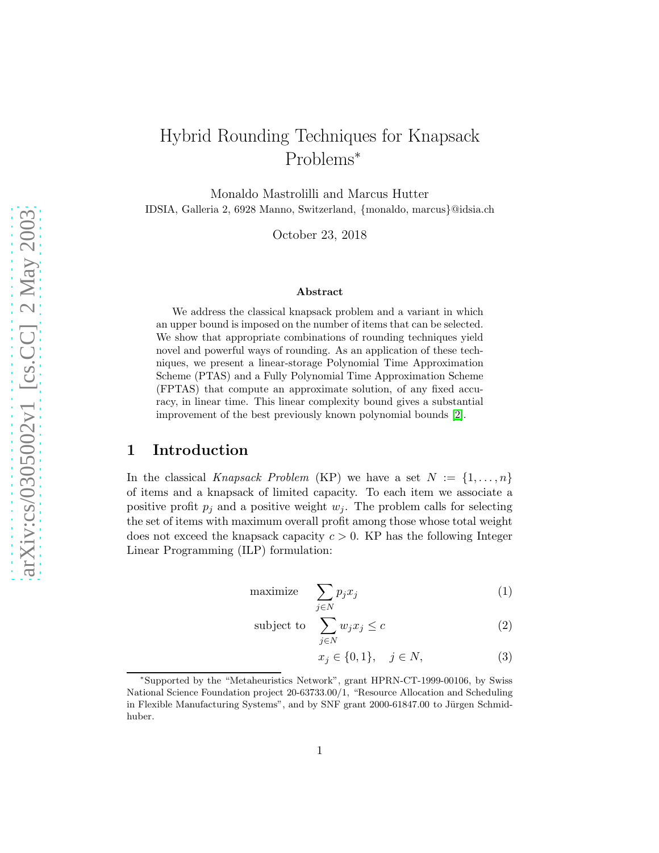# Hybrid Rounding Techniques for Knapsack Problems<sup>∗</sup>

Monaldo Mastrolilli and Marcus Hutter IDSIA, Galleria 2, 6928 Manno, Switzerland, {monaldo, marcus}@idsia.ch

October 23, 2018

#### Abstract

We address the classical knapsack problem and a variant in which an upper bound is imposed on the number of items that can be selected. We show that appropriate combinations of rounding techniques yield novel and powerful ways of rounding. As an application of these techniques, we present a linear-storage Polynomial Time Approximation Scheme (PTAS) and a Fully Polynomial Time Approximation Scheme (FPTAS) that compute an approximate solution, of any fixed accuracy, in linear time. This linear complexity bound gives a substantial improvement of the best previously known polynomial bounds [\[2\]](#page-17-0).

### 1 Introduction

In the classical Knapsack Problem (KP) we have a set  $N := \{1, \ldots, n\}$ of items and a knapsack of limited capacity. To each item we associate a positive profit  $p_i$  and a positive weight  $w_i$ . The problem calls for selecting the set of items with maximum overall profit among those whose total weight does not exceed the knapsack capacity  $c > 0$ . KP has the following Integer Linear Programming (ILP) formulation:

$$
\text{maximize} \quad \sum_{j \in N} p_j x_j \tag{1}
$$

subject to 
$$
\sum_{j \in N} w_j x_j \le c \tag{2}
$$

<span id="page-0-1"></span><span id="page-0-0"></span>
$$
x_j \in \{0, 1\}, \quad j \in N,
$$
\n(3)

<sup>∗</sup> Supported by the "Metaheuristics Network", grant HPRN-CT-1999-00106, by Swiss National Science Foundation project 20-63733.00/1, "Resource Allocation and Scheduling in Flexible Manufacturing Systems", and by SNF grant 2000-61847.00 to Jürgen Schmidhuber.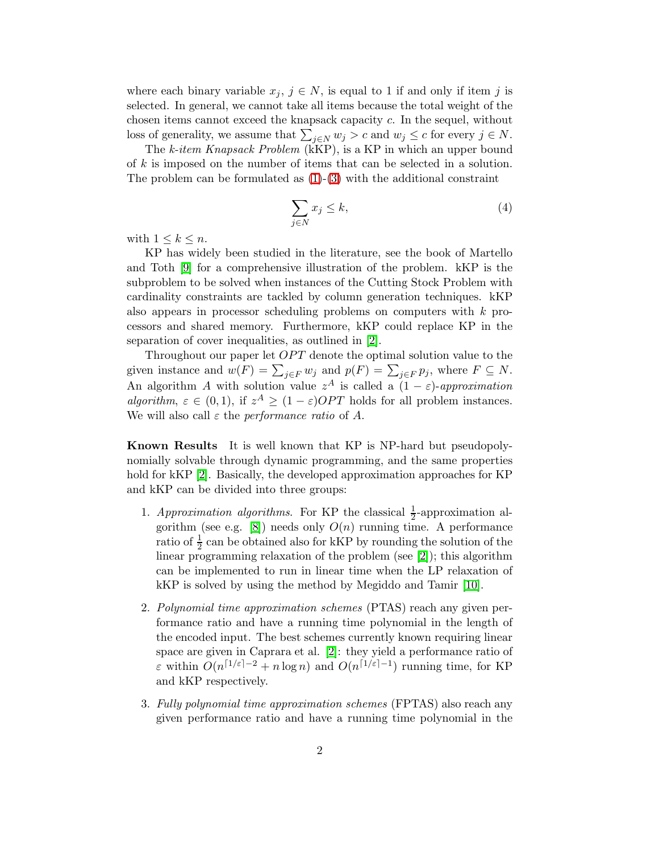where each binary variable  $x_j, j \in N$ , is equal to 1 if and only if item j is selected. In general, we cannot take all items because the total weight of the chosen items cannot exceed the knapsack capacity c. In the sequel, without loss of generality, we assume that  $\sum_{j \in N} w_j > c$  and  $w_j \le c$  for every  $j \in N$ .

The k-item Knapsack Problem ( $\widehat{K}$ P), is a KP in which an upper bound of k is imposed on the number of items that can be selected in a solution. The problem can be formulated as  $(1)-(3)$  $(1)-(3)$  with the additional constraint

$$
\sum_{j \in N} x_j \le k,\tag{4}
$$

with  $1 \leq k \leq n$ .

KP has widely been studied in the literature, see the book of Martello and Toth [\[9\]](#page-18-0) for a comprehensive illustration of the problem. kKP is the subproblem to be solved when instances of the Cutting Stock Problem with cardinality constraints are tackled by column generation techniques. kKP also appears in processor scheduling problems on computers with k processors and shared memory. Furthermore, kKP could replace KP in the separation of cover inequalities, as outlined in [\[2\]](#page-17-0).

Throughout our paper let  $OPT$  denote the optimal solution value to the given instance and  $w(F) = \sum_{j \in F} w_j$  and  $p(F) = \sum_{j \in F} p_j$ , where  $F \subseteq N$ . An algorithm A with solution value  $z^A$  is called a  $(1 - \varepsilon)$ -approximation algorithm,  $\varepsilon \in (0,1)$ , if  $z^A \ge (1-\varepsilon)OPT$  holds for all problem instances. We will also call  $\varepsilon$  the *performance ratio* of A.

Known Results It is well known that KP is NP-hard but pseudopolynomially solvable through dynamic programming, and the same properties hold for kKP [\[2\]](#page-17-0). Basically, the developed approximation approaches for KP and kKP can be divided into three groups:

- 1. Approximation algorithms. For KP the classical  $\frac{1}{2}$ -approximation al-gorithm (see e.g. [\[8\]](#page-18-1)) needs only  $O(n)$  running time. A performance ratio of  $\frac{1}{2}$  can be obtained also for kKP by rounding the solution of the linear programming relaxation of the problem (see [\[2\]](#page-17-0)); this algorithm can be implemented to run in linear time when the LP relaxation of kKP is solved by using the method by Megiddo and Tamir [\[10\]](#page-18-2).
- 2. Polynomial time approximation schemes (PTAS) reach any given performance ratio and have a running time polynomial in the length of the encoded input. The best schemes currently known requiring linear space are given in Caprara et al. [\[2\]](#page-17-0): they yield a performance ratio of  $\varepsilon$  within  $O(n^{\lceil 1/\varepsilon \rceil - 2} + n \log n)$  and  $O(n^{\lceil 1/\varepsilon \rceil - 1})$  running time, for KP and kKP respectively.
- 3. Fully polynomial time approximation schemes (FPTAS) also reach any given performance ratio and have a running time polynomial in the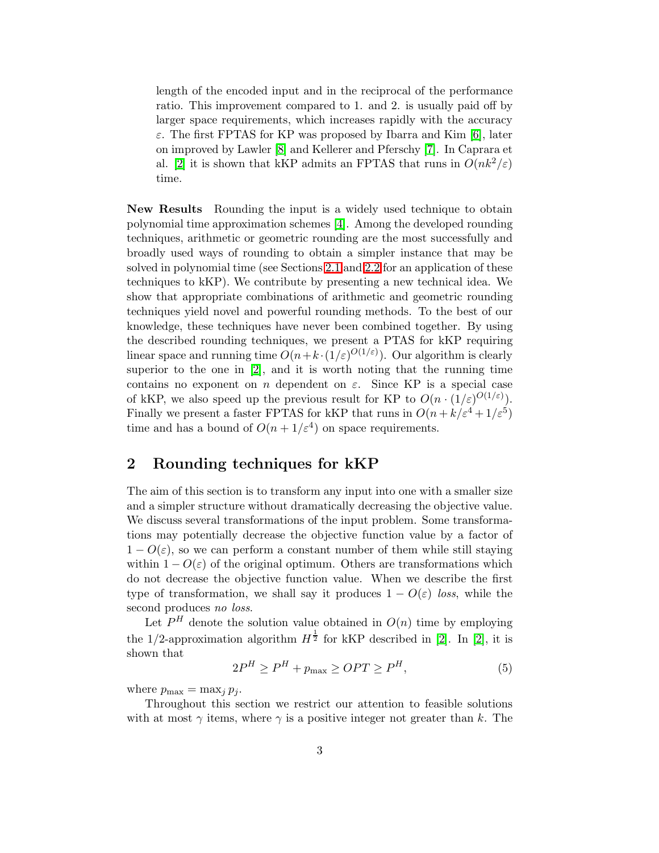length of the encoded input and in the reciprocal of the performance ratio. This improvement compared to 1. and 2. is usually paid off by larger space requirements, which increases rapidly with the accuracy ε. The first FPTAS for KP was proposed by Ibarra and Kim [\[6\]](#page-17-1), later on improved by Lawler [\[8\]](#page-18-1) and Kellerer and Pferschy [\[7\]](#page-17-2). In Caprara et al. [\[2\]](#page-17-0) it is shown that kKP admits an FPTAS that runs in  $O(nk^2/\varepsilon)$ time.

New Results Rounding the input is a widely used technique to obtain polynomial time approximation schemes [\[4\]](#page-17-3). Among the developed rounding techniques, arithmetic or geometric rounding are the most successfully and broadly used ways of rounding to obtain a simpler instance that may be solved in polynomial time (see Sections [2.1](#page-3-0) and [2.2](#page-4-0) for an application of these techniques to kKP). We contribute by presenting a new technical idea. We show that appropriate combinations of arithmetic and geometric rounding techniques yield novel and powerful rounding methods. To the best of our knowledge, these techniques have never been combined together. By using the described rounding techniques, we present a PTAS for kKP requiring linear space and running time  $O(n + k \cdot (1/\varepsilon)^{O(1/\varepsilon)})$ . Our algorithm is clearly superior to the one in [\[2\]](#page-17-0), and it is worth noting that the running time contains no exponent on n dependent on  $\varepsilon$ . Since KP is a special case of kKP, we also speed up the previous result for KP to  $O(n \cdot (1/\varepsilon)^{O(1/\varepsilon)})$ . Finally we present a faster FPTAS for kKP that runs in  $O(n + k/\varepsilon^4 + 1/\varepsilon^5)$ time and has a bound of  $O(n+1/\varepsilon^4)$  on space requirements.

### <span id="page-2-1"></span>2 Rounding techniques for kKP

The aim of this section is to transform any input into one with a smaller size and a simpler structure without dramatically decreasing the objective value. We discuss several transformations of the input problem. Some transformations may potentially decrease the objective function value by a factor of  $1 - O(\varepsilon)$ , so we can perform a constant number of them while still staying within  $1 - O(\varepsilon)$  of the original optimum. Others are transformations which do not decrease the objective function value. When we describe the first type of transformation, we shall say it produces  $1 - O(\varepsilon)$  loss, while the second produces no loss.

<span id="page-2-0"></span>Let  $P^H$  denote the solution value obtained in  $O(n)$  time by employing the 1/2-approximation algorithm  $H^{\frac{1}{2}}$  for kKP described in [\[2\]](#page-17-0). In [2], it is shown that

$$
2P^H \ge P^H + p_{\text{max}} \ge OPT \ge P^H,\tag{5}
$$

where  $p_{\text{max}} = \max_{i} p_i$ .

Throughout this section we restrict our attention to feasible solutions with at most  $\gamma$  items, where  $\gamma$  is a positive integer not greater than k. The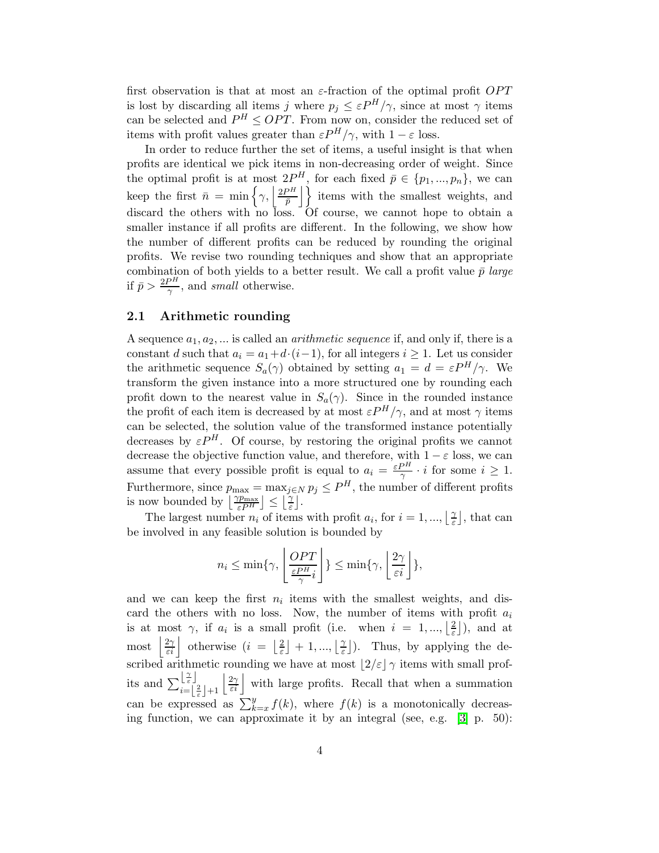first observation is that at most an  $\varepsilon$ -fraction of the optimal profit  $OPT$ is lost by discarding all items j where  $p_j \leq \varepsilon P^H/\gamma$ , since at most  $\gamma$  items can be selected and  $P^H \leq OPT$ . From now on, consider the reduced set of items with profit values greater than  $\varepsilon P^{H}/\gamma$ , with  $1-\varepsilon$  loss.

In order to reduce further the set of items, a useful insight is that when profits are identical we pick items in non-decreasing order of weight. Since the optimal profit is at most  $2P^H$ , for each fixed  $\bar{p} \in \{p_1, ..., p_n\}$ , we can keep the first  $\bar{n} = \min \left\{ \gamma, \left| \frac{2P^H}{\bar{n}} \right| \right\}$  $\left\{ \frac{\rho H}{\bar{p}} \right\}$  items with the smallest weights, and discard the others with no loss. Of course, we cannot hope to obtain a smaller instance if all profits are different. In the following, we show how the number of different profits can be reduced by rounding the original profits. We revise two rounding techniques and show that an appropriate combination of both yields to a better result. We call a profit value  $\bar{p}$  large if  $\bar{p} > \frac{2P^H}{\gamma}$ , and small otherwise.

### <span id="page-3-0"></span>2.1 Arithmetic rounding

A sequence  $a_1, a_2, \ldots$  is called an *arithmetic sequence* if, and only if, there is a constant d such that  $a_i = a_1 + d \cdot (i-1)$ , for all integers  $i \geq 1$ . Let us consider the arithmetic sequence  $S_a(\gamma)$  obtained by setting  $a_1 = d = \varepsilon P^H / \gamma$ . We transform the given instance into a more structured one by rounding each profit down to the nearest value in  $S_a(\gamma)$ . Since in the rounded instance the profit of each item is decreased by at most  $\varepsilon P^{H}/\gamma$ , and at most  $\gamma$  items can be selected, the solution value of the transformed instance potentially decreases by  $\varepsilon P^{H}$ . Of course, by restoring the original profits we cannot decrease the objective function value, and therefore, with  $1 - \varepsilon$  loss, we can assume that every possible profit is equal to  $a_i = \frac{\varepsilon P^H}{\gamma}$  $\frac{\beta n}{\gamma} \cdot i$  for some  $i \geq 1$ . Furthermore, since  $p_{\text{max}} = \max_{j \in N} p_j \leq P^H$ , the number of different profits is now bounded by  $\left\lfloor \frac{\gamma p_{\max}}{\varepsilon P^H} \right\rfloor \leq \left\lfloor \frac{\gamma}{\varepsilon} \right\rfloor$ .

The largest number  $n_i$  of items with profit  $a_i$ , for  $i = 1, ..., \lfloor \frac{n}{\epsilon} \rfloor$  $\frac{\gamma}{\varepsilon}$ , that can be involved in any feasible solution is bounded by

$$
n_i \le \min\{\gamma, \left\lfloor \frac{OPT}{\frac{\varepsilon P^H}{\gamma}i} \right\rfloor\} \le \min\{\gamma, \left\lfloor \frac{2\gamma}{\varepsilon i} \right\rfloor\},\
$$

and we can keep the first  $n_i$  items with the smallest weights, and discard the others with no loss. Now, the number of items with profit  $a_i$ is at most  $\gamma$ , if  $a_i$  is a small profit (i.e. when  $i = 1, ..., \lfloor \frac{2}{\varepsilon} \rfloor$  $\frac{2}{\varepsilon}$ ), and at most  $\left|\frac{2\gamma}{\varepsilon i}\right|$  otherwise  $(i = \lfloor \frac{2}{\varepsilon}\rfloor)$  $\left[\frac{2}{\varepsilon}\right] + 1, ..., \left[\frac{\gamma}{\varepsilon}\right]$  $\left[\frac{\gamma}{\varepsilon}\right]$ ). Thus, by applying the described arithmetic rounding we have at most  $\lfloor 2/\varepsilon \rfloor \gamma$  items with small profits and  $\sum_{i=1}^{\lfloor \frac{\gamma}{\varepsilon} \rfloor}$  $\begin{bmatrix} 2 \\ \epsilon \\ i \end{bmatrix} + 1 \begin{bmatrix} 2\gamma \\ \epsilon i \\ \end{bmatrix}$  with large profits. Recall that when a summation can be expressed as  $\sum_{k=x}^{y} f(k)$ , where  $f(k)$  is a monotonically decreasing function, we can approximate it by an integral (see, e.g. [\[3\]](#page-17-4) p. 50):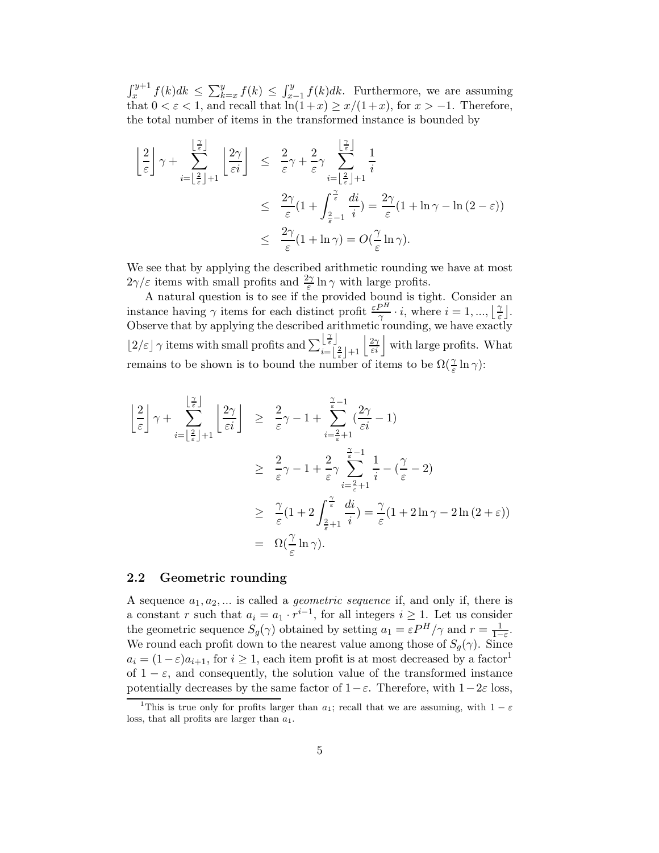$\int_x^{y+1} f(k)dk \leq \sum_{k=x}^y f(k) \leq \int_{x-1}^y f(k)dk$ . Furthermore, we are assuming that  $0 < \varepsilon < 1$ , and recall that  $\ln(1+x) \geq x/(1+x)$ , for  $x > -1$ . Therefore, the total number of items in the transformed instance is bounded by

$$
\left\lfloor \frac{2}{\varepsilon} \right\rfloor \gamma + \sum_{i = \left\lfloor \frac{2}{\varepsilon} \right\rfloor + 1}^{\left\lfloor \frac{2}{\varepsilon} \right\rfloor} \left\lfloor \frac{2\gamma}{\varepsilon i} \right\rfloor \leq \frac{2}{\varepsilon} \gamma + \frac{2}{\varepsilon} \gamma \sum_{i = \left\lfloor \frac{2}{\varepsilon} \right\rfloor + 1}^{\left\lfloor \frac{2}{\varepsilon} \right\rfloor} \frac{1}{i}
$$

$$
\leq \frac{2\gamma}{\varepsilon} (1 + \int_{\frac{2}{\varepsilon} - 1}^{\frac{2}{\varepsilon}} \frac{di}{i} ) = \frac{2\gamma}{\varepsilon} (1 + \ln \gamma - \ln (2 - \varepsilon))
$$

$$
\leq \frac{2\gamma}{\varepsilon} (1 + \ln \gamma) = O\left(\frac{\gamma}{\varepsilon} \ln \gamma\right).
$$

We see that by applying the described arithmetic rounding we have at most  $2\gamma/\varepsilon$  items with small profits and  $\frac{2\gamma}{\varepsilon}\ln\gamma$  with large profits.

A natural question is to see if the provided bound is tight. Consider an instance having  $\gamma$  items for each distinct profit  $\frac{\varepsilon P^H}{\gamma} \cdot i$ , where  $i = 1, ..., \lfloor \frac{\gamma}{\varepsilon} \rfloor$  $\frac{\gamma}{\varepsilon}$ . Observe that by applying the described arithmetic rounding, we have exactly  $\lfloor 2/\varepsilon \rfloor$   $\gamma$  items with small profits and  $\sum_{i=1}^{\lfloor \frac{\gamma}{\varepsilon} \rfloor}$  $\begin{bmatrix} 2 \\ \frac{2}{\varepsilon} \end{bmatrix} + 1 \begin{bmatrix} 2\gamma \\ \varepsilon i \end{bmatrix}$  with large profits. What remains to be shown is to bound the number of items to be  $\Omega(\frac{\gamma}{\varepsilon}\ln \gamma)$ :

$$
\begin{array}{rcl}\n\left\lfloor \frac{2}{\varepsilon} \right\rfloor \gamma & + & \sum\limits_{i = \left\lfloor \frac{2}{\varepsilon} \right\rfloor + 1}^{\left\lfloor \frac{2}{\varepsilon} \right\rfloor} \left\lfloor \frac{2\gamma}{\varepsilon i} \right\rfloor & \geq & \frac{2}{\varepsilon}\gamma - 1 + \sum\limits_{i = \frac{2}{\varepsilon} + 1}^{\frac{\gamma}{\varepsilon} - 1} \left( \frac{2\gamma}{\varepsilon i} - 1 \right) \\
& \geq & \frac{2}{\varepsilon}\gamma - 1 + \frac{2}{\varepsilon}\gamma \sum\limits_{i = \frac{2}{\varepsilon} + 1}^{\frac{\gamma}{\varepsilon} - 1} \frac{1}{i} - \left( \frac{\gamma}{\varepsilon} - 2 \right) \\
& \geq & \frac{\gamma}{\varepsilon} (1 + 2 \int_{\frac{2}{\varepsilon} + 1}^{\frac{\gamma}{\varepsilon}} \frac{di}{i} ) = \frac{\gamma}{\varepsilon} (1 + 2 \ln \gamma - 2 \ln \left( 2 + \varepsilon \right)) \\
& = & \Omega\left( \frac{\gamma}{\varepsilon} \ln \gamma \right).\n\end{array}
$$

### <span id="page-4-0"></span>2.2 Geometric rounding

A sequence  $a_1, a_2, \ldots$  is called a *geometric sequence* if, and only if, there is a constant r such that  $a_i = a_1 \cdot r^{i-1}$ , for all integers  $i \geq 1$ . Let us consider the geometric sequence  $S_g(\gamma)$  obtained by setting  $a_1 = \varepsilon P^H / \gamma$  and  $r = \frac{1}{1-\varepsilon}$  $\frac{1}{1-\varepsilon}$ . We round each profit down to the nearest value among those of  $S_g(\gamma)$ . Since  $a_i = (1-\varepsilon)a_{i+1}$ , for  $i \geq 1$ , each item profit is at most decreased by a factor<sup>1</sup> of  $1 - \varepsilon$ , and consequently, the solution value of the transformed instance potentially decreases by the same factor of  $1-\varepsilon$ . Therefore, with  $1-2\varepsilon$  loss,

<sup>&</sup>lt;sup>1</sup>This is true only for profits larger than  $a_1$ ; recall that we are assuming, with  $1 - \varepsilon$ loss, that all profits are larger than  $a_1$ .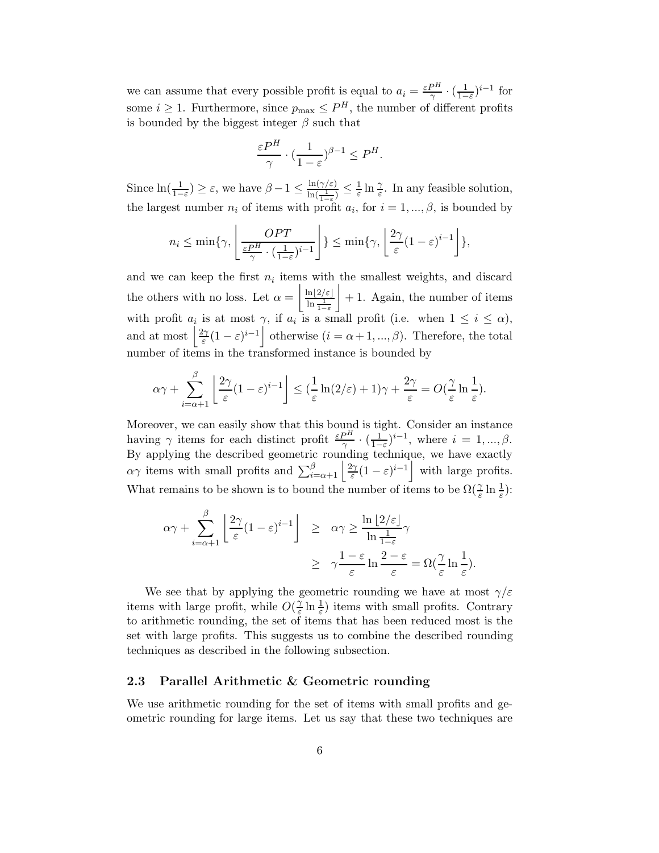we can assume that every possible profit is equal to  $a_i = \frac{\varepsilon P^H}{\gamma}$  $\frac{P^H}{\gamma} \cdot \left(\frac{1}{1-\right)$  $\frac{1}{1-\varepsilon}$ <sup>i-1</sup> for some  $i \geq 1$ . Furthermore, since  $p_{\text{max}} \leq P^H$ , the number of different profits is bounded by the biggest integer  $\beta$  such that

$$
\frac{\varepsilon P^H}{\gamma} \cdot \left(\frac{1}{1-\varepsilon}\right)^{\beta-1} \le P^H.
$$

Since  $\ln(\frac{1}{1-\varepsilon}) \geq \varepsilon$ , we have  $\beta - 1 \leq \frac{\ln(\gamma/\varepsilon)}{\ln(\frac{1}{\gamma})}$  $\frac{\ln(\gamma/\varepsilon)}{\ln(\frac{1}{1-\varepsilon})} \leq \frac{1}{\varepsilon}$  $\frac{1}{\varepsilon} \ln \frac{\gamma}{\varepsilon}$ . In any feasible solution, the largest number  $n_i$  of items with profit  $a_i$ , for  $i = 1, ..., \beta$ , is bounded by

$$
n_i \le \min\{\gamma, \left\lfloor \frac{OPT}{\frac{\varepsilon P^H}{\gamma} \cdot (\frac{1}{1-\varepsilon})^{i-1}} \right\} \le \min\{\gamma, \left\lfloor \frac{2\gamma}{\varepsilon} (1-\varepsilon)^{i-1} \right\} \},
$$

and we can keep the first  $n_i$  items with the smallest weights, and discard the others with no loss. Let  $\alpha =$  $\ln|2/\varepsilon|$  $\ln \frac{1}{1-\varepsilon}$  $\overline{1}$ + 1. Again, the number of items with profit  $a_i$  is at most  $\gamma$ , if  $a_i$  is a small profit (i.e. when  $1 \leq i \leq \alpha$ ), and at most  $\frac{2\gamma}{\varepsilon}$  $\frac{\partial \gamma}{\partial \varepsilon}(1-\varepsilon)^{i-1}$  otherwise  $(i=\alpha+1,...,\beta)$ . Therefore, the total number of items in the transformed instance is bounded by

$$
\alpha \gamma + \sum_{i=\alpha+1}^{\beta} \left\lfloor \frac{2\gamma}{\varepsilon} (1-\varepsilon)^{i-1} \right\rfloor \leq \left(\frac{1}{\varepsilon} \ln(2/\varepsilon) + 1\right) \gamma + \frac{2\gamma}{\varepsilon} = O\left(\frac{\gamma}{\varepsilon} \ln \frac{1}{\varepsilon}\right).
$$

Moreover, we can easily show that this bound is tight. Consider an instance having  $\gamma$  items for each distinct profit  $\frac{\varepsilon P^H}{\gamma} \cdot \left(\frac{1}{1-\varepsilon P}\right)$  $\frac{1}{1-\varepsilon}$ )<sup>*i*-1</sup>, where *i* = 1, ...,  $\beta$ . By applying the described geometric rounding technique, we have exactly  $\alpha\gamma$  items with small profits and  $\sum_{i=\alpha+1}^{\beta} \left| \frac{2\gamma}{\varepsilon} \right|$  $\frac{2\gamma}{\varepsilon}(1-\varepsilon)^{i-1}$  with large profits. What remains to be shown is to bound the number of items to be  $\Omega(\frac{\gamma}{\varepsilon}\ln\frac{1}{\varepsilon})$ :

$$
\alpha \gamma + \sum_{i=\alpha+1}^{\beta} \left\lfloor \frac{2\gamma}{\varepsilon} (1-\varepsilon)^{i-1} \right\rfloor \geq \alpha \gamma \geq \frac{\ln\left[2/\varepsilon\right]}{\ln\frac{1}{1-\varepsilon}} \gamma
$$
  
 
$$
\geq \gamma \frac{1-\varepsilon}{\varepsilon} \ln \frac{2-\varepsilon}{\varepsilon} = \Omega\left(\frac{\gamma}{\varepsilon} \ln \frac{1}{\varepsilon}\right).
$$

We see that by applying the geometric rounding we have at most  $\gamma/\varepsilon$ items with large profit, while  $O(\frac{1}{\epsilon})$  $(\frac{\gamma}{\varepsilon} \ln \frac{1}{\varepsilon})$  items with small profits. Contrary to arithmetic rounding, the set of items that has been reduced most is the set with large profits. This suggests us to combine the described rounding techniques as described in the following subsection.

#### <span id="page-5-0"></span>2.3 Parallel Arithmetic & Geometric rounding

We use arithmetic rounding for the set of items with small profits and geometric rounding for large items. Let us say that these two techniques are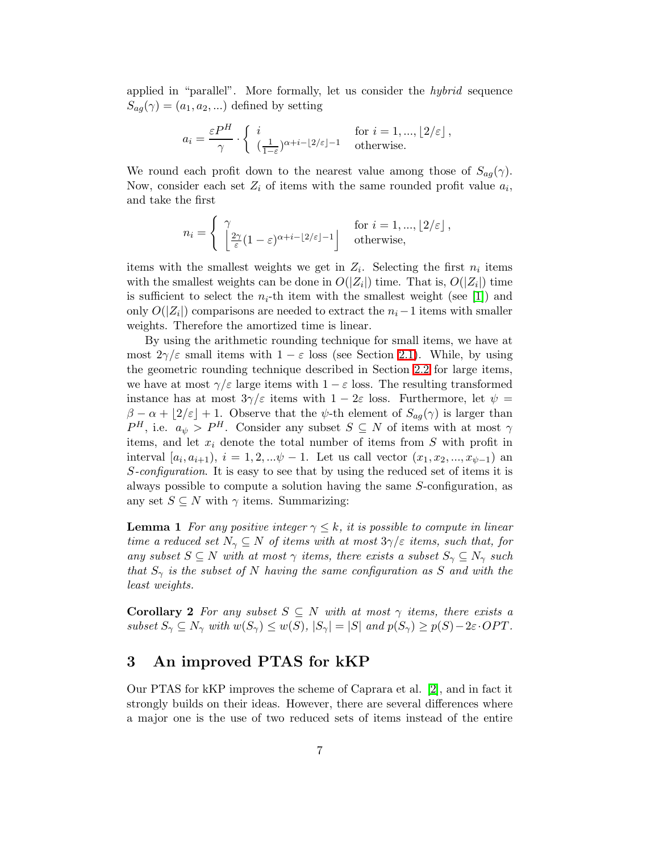applied in "parallel". More formally, let us consider the hybrid sequence  $S_{ag}(\gamma) = (a_1, a_2, \ldots)$  defined by setting

$$
a_i = \frac{\varepsilon P^H}{\gamma} \cdot \left\{ \begin{array}{ll} i & \text{for } i = 1, ..., \lfloor 2/\varepsilon \rfloor, \\ (\frac{1}{1-\varepsilon})^{\alpha+i-\lfloor 2/\varepsilon \rfloor -1} & \text{otherwise.} \end{array} \right.
$$

We round each profit down to the nearest value among those of  $S_{ag}(\gamma)$ . Now, consider each set  $Z_i$  of items with the same rounded profit value  $a_i$ , and take the first

$$
n_i = \begin{cases} \gamma & \text{for } i = 1, ..., \lfloor 2/\varepsilon \rfloor, \\ \left\lfloor \frac{2\gamma}{\varepsilon} (1 - \varepsilon)^{\alpha + i - \lfloor 2/\varepsilon \rfloor - 1} \right\rfloor & \text{otherwise,} \end{cases}
$$

items with the smallest weights we get in  $Z_i$ . Selecting the first  $n_i$  items with the smallest weights can be done in  $O(|Z_i|)$  time. That is,  $O(|Z_i|)$  time is sufficient to select the  $n_i$ -th item with the smallest weight (see [\[1\]](#page-17-5)) and only  $O(|Z_i|)$  comparisons are needed to extract the  $n_i-1$  items with smaller weights. Therefore the amortized time is linear.

By using the arithmetic rounding technique for small items, we have at most  $2\gamma/\varepsilon$  small items with  $1 - \varepsilon$  loss (see Section [2.1\)](#page-3-0). While, by using the geometric rounding technique described in Section [2.2](#page-4-0) for large items, we have at most  $\gamma/\varepsilon$  large items with  $1-\varepsilon$  loss. The resulting transformed instance has at most  $3\gamma/\varepsilon$  items with  $1-2\varepsilon$  loss. Furthermore, let  $\psi =$  $\beta - \alpha + \lfloor 2/\varepsilon \rfloor + 1$ . Observe that the  $\psi$ -th element of  $S_{ag}(\gamma)$  is larger than  $P^H$ , i.e.  $a_{\psi} > P^H$ . Consider any subset  $S \subseteq N$  of items with at most  $\gamma$ items, and let  $x_i$  denote the total number of items from  $S$  with profit in interval  $[a_i, a_{i+1}), i = 1, 2, ...\psi - 1$ . Let us call vector  $(x_1, x_2, ..., x_{\psi-1})$  and S-configuration. It is easy to see that by using the reduced set of items it is always possible to compute a solution having the same S-configuration, as any set  $S \subseteq N$  with  $\gamma$  items. Summarizing:

<span id="page-6-0"></span>**Lemma 1** For any positive integer  $\gamma \leq k$ , it is possible to compute in linear time a reduced set  $N_{\gamma} \subseteq N$  of items with at most  $3\gamma/\varepsilon$  items, such that, for any subset  $S \subseteq N$  with at most  $\gamma$  items, there exists a subset  $S_{\gamma} \subseteq N_{\gamma}$  such that  $S_{\gamma}$  is the subset of N having the same configuration as S and with the least weights.

<span id="page-6-1"></span>**Corollary 2** For any subset  $S \subseteq N$  with at most  $\gamma$  items, there exists a subset  $S_{\gamma} \subseteq N_{\gamma}$  with  $w(S_{\gamma}) \leq w(S), |S_{\gamma}| = |S|$  and  $p(S_{\gamma}) \geq p(S) - 2\varepsilon \cdot OPT$ .

### 3 An improved PTAS for kKP

Our PTAS for kKP improves the scheme of Caprara et al. [\[2\]](#page-17-0), and in fact it strongly builds on their ideas. However, there are several differences where a major one is the use of two reduced sets of items instead of the entire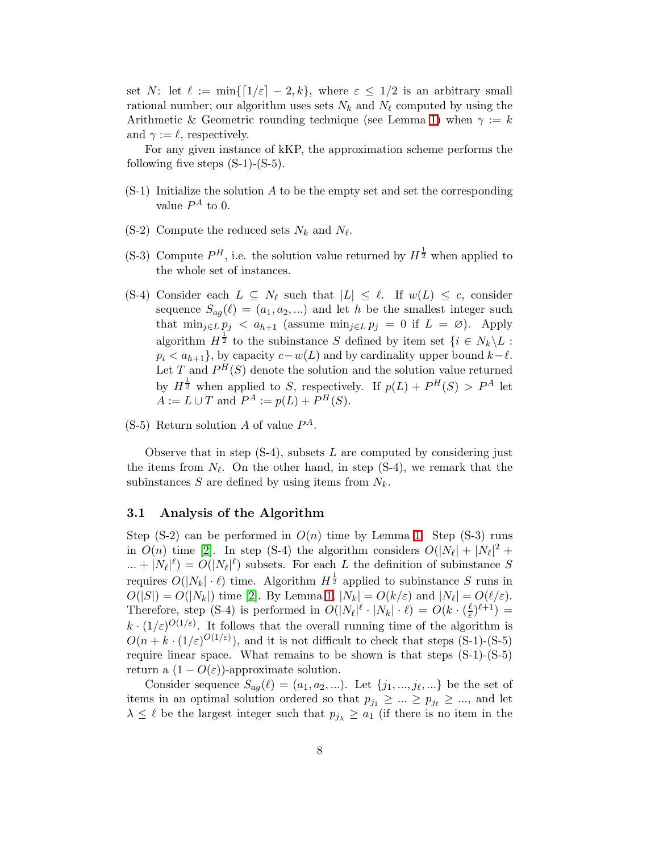set N: let  $\ell := \min\{[1/\varepsilon] - 2, k\}$ , where  $\varepsilon \leq 1/2$  is an arbitrary small rational number; our algorithm uses sets  $N_k$  and  $N_\ell$  computed by using the Arithmetic & Geometric rounding technique (see Lemma [1\)](#page-6-0) when  $\gamma := k$ and  $\gamma := \ell$ , respectively.

For any given instance of kKP, the approximation scheme performs the following five steps  $(S-1)-(S-5)$ .

- $(S-1)$  Initialize the solution A to be the empty set and set the corresponding value  $P^A$  to 0.
- $(S-2)$  Compute the reduced sets  $N_k$  and  $N_\ell$ .
- (S-3) Compute  $P^H$ , i.e. the solution value returned by  $H^{\frac{1}{2}}$  when applied to the whole set of instances.
- (S-4) Consider each  $L \subseteq N_{\ell}$  such that  $|L| \leq \ell$ . If  $w(L) \leq c$ , consider sequence  $S_{aq}(\ell) = (a_1, a_2, ...)$  and let h be the smallest integer such that  $\min_{j\in L} p_j < a_{h+1}$  (assume  $\min_{j\in L} p_j = 0$  if  $L = \emptyset$ ). Apply algorithm  $H^{\frac{1}{2}}$  to the subinstance S defined by item set  $\{i \in N_k \setminus L :$  $p_i < a_{h+1}$ , by capacity  $c-w(L)$  and by cardinality upper bound  $k-\ell$ . Let T and  $P^{H}(S)$  denote the solution and the solution value returned by  $H^{\frac{1}{2}}$  when applied to S, respectively. If  $p(L) + P^H(S) > P^A$  let  $A := L \cup T$  and  $P^A := p(L) + P^H(S)$ .

 $(S-5)$  Return solution A of value  $P^A$ .

Observe that in step  $(S-4)$ , subsets L are computed by considering just the items from  $N_{\ell}$ . On the other hand, in step (S-4), we remark that the subinstances  $S$  are defined by using items from  $N_k$ .

### 3.1 Analysis of the Algorithm

Step (S-2) can be performed in  $O(n)$  time by Lemma [1.](#page-6-0) Step (S-3) runs in  $O(n)$  time [\[2\]](#page-17-0). In step (S-4) the algorithm considers  $O(|N_{\ell}| + |N_{\ell}|^2 +$  $... + |N_{\ell}|^{\ell}$  =  $O(|N_{\ell}|^{\ell})$  subsets. For each L the definition of subinstance S requires  $O(|N_k| \cdot \ell)$  time. Algorithm  $H^{\frac{1}{2}}$  applied to subinstance S runs in  $O(|S|) = O(|N_k|)$  time [\[2\]](#page-17-0). By Lemma [1,](#page-6-0)  $|N_k| = O(k/\varepsilon)$  and  $|N_\ell| = O(\ell/\varepsilon)$ . Therefore, step (S-4) is performed in  $O(|N_{\ell}|^{\ell} \cdot |N_{k}| \cdot \ell) = O(k \cdot (\frac{\ell}{\varepsilon}))$  $(\frac{\ell}{\varepsilon})^{\ell+1}) =$  $k \cdot (1/\varepsilon)^{O(1/\varepsilon)}$ . It follows that the overall running time of the algorithm is  $O(n + k \cdot (1/\varepsilon)^{O(1/\varepsilon)})$ , and it is not difficult to check that steps (S-1)-(S-5) require linear space. What remains to be shown is that steps (S-1)-(S-5) return a  $(1 - O(\varepsilon))$ -approximate solution.

Consider sequence  $S_{ag}(\ell) = (a_1, a_2, ...)$ . Let  $\{j_1, ..., j_\ell, ...\}$  be the set of items in an optimal solution ordered so that  $p_{j_1} \geq ... \geq p_{j_\ell} \geq ...$ , and let  $\lambda \leq \ell$  be the largest integer such that  $p_{j_{\lambda}} \geq a_1$  (if there is no item in the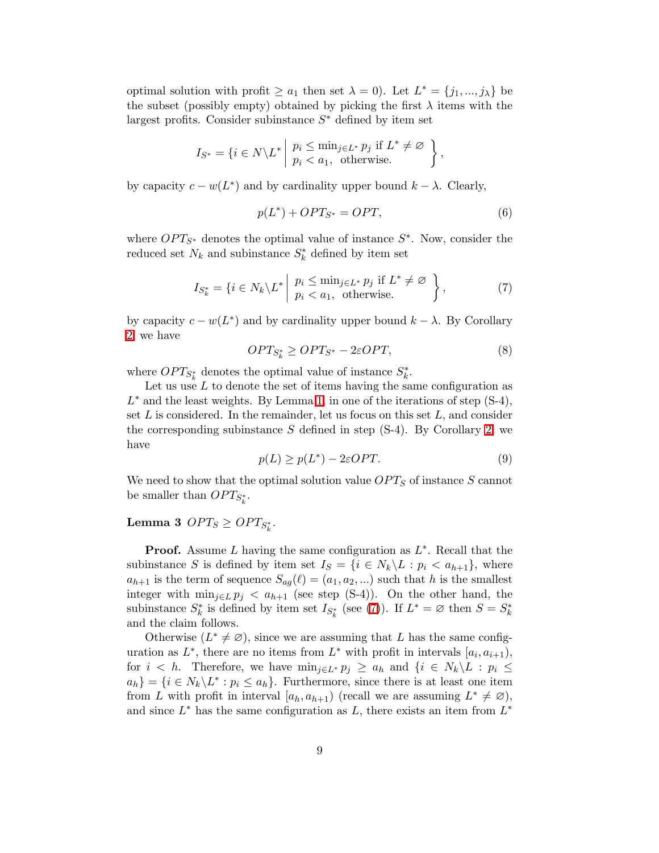optimal solution with profit  $\ge a_1$  then set  $\lambda = 0$ . Let  $L^* = \{j_1, ..., j_\lambda\}$  be the subset (possibly empty) obtained by picking the first  $\lambda$  items with the largest profits. Consider subinstance  $S^*$  defined by item set

$$
I_{S^*} = \{ i \in N \setminus L^* \mid p_i \leq \min_{j \in L^*} p_j \text{ if } L^* \neq \emptyset \} ,
$$
  
\n
$$
p_i < a_1, \text{ otherwise.}
$$

by capacity  $c - w(L^*)$  and by cardinality upper bound  $k - \lambda$ . Clearly,

<span id="page-8-3"></span><span id="page-8-0"></span>
$$
p(L^*) + OPT_{S^*} = OPT,
$$
\n<sup>(6)</sup>

where  $OPT_{S^*}$  denotes the optimal value of instance  $S^*$ . Now, consider the reduced set  $N_k$  and subinstance  $S_k^*$  defined by item set

$$
I_{S_k^*} = \{ i \in N_k \setminus L^* \mid \begin{array}{c} p_i \le \min_{j \in L^*} p_j \text{ if } L^* \neq \varnothing \\ p_i < a_1, \text{ otherwise.} \end{array} \right\},\tag{7}
$$

<span id="page-8-2"></span>by capacity  $c - w(L^*)$  and by cardinality upper bound  $k - \lambda$ . By Corollary [2,](#page-6-1) we have

$$
OPT_{S_k^*} \ge OPT_{S^*} - 2\varepsilon OPT,\tag{8}
$$

where  $OPT_{S^*_{k}}$  denotes the optimal value of instance  $S^*_{k}$ .

<span id="page-8-4"></span>Let us use  $L$  to denote the set of items having the same configuration as  $L^*$  and the least weights. By Lemma [1,](#page-6-0) in one of the iterations of step  $(S-4)$ , set  $L$  is considered. In the remainder, let us focus on this set  $L$ , and consider the corresponding subinstance S defined in step  $(S-4)$ . By Corollary [2,](#page-6-1) we have

$$
p(L) \ge p(L^*) - 2\varepsilon OPT.
$$
\n(9)

<span id="page-8-1"></span>We need to show that the optimal solution value  $OPT_S$  of instance S cannot be smaller than  $OPT_{S^*_k}$ .

## $\textbf{Lemma 3 } OPT_S \geq OPT_{S^*_k}.$

**Proof.** Assume  $L$  having the same configuration as  $L^*$ . Recall that the subinstance S is defined by item set  $I_S = \{i \in N_k \backslash L : p_i < a_{h+1}\}\$ , where  $a_{h+1}$  is the term of sequence  $S_{ag}(\ell) = (a_1, a_2, ...)$  such that h is the smallest integer with  $\min_{j\in L} p_j < a_{h+1}$  (see step (S-4)). On the other hand, the subinstance  $S_k^*$  is defined by item set  $I_{S_k^*}$  (see [\(7\)](#page-8-0)). If  $L^* = \varnothing$  then  $S = S_k^*$ and the claim follows.

Otherwise  $(L^* \neq \emptyset)$ , since we are assuming that L has the same configuration as  $L^*$ , there are no items from  $L^*$  with profit in intervals  $[a_i, a_{i+1}),$ for  $i < h$ . Therefore, we have  $\min_{j \in L^*} p_j \ge a_h$  and  $\{i \in N_k \setminus L : p_i \le$  $a_h$ } = { $i \in N_k \backslash L^* : p_i \leq a_h$ }. Furthermore, since there is at least one item from L with profit in interval  $[a_h, a_{h+1})$  (recall we are assuming  $L^* \neq \emptyset$ ), and since  $L^*$  has the same configuration as  $L$ , there exists an item from  $L^*$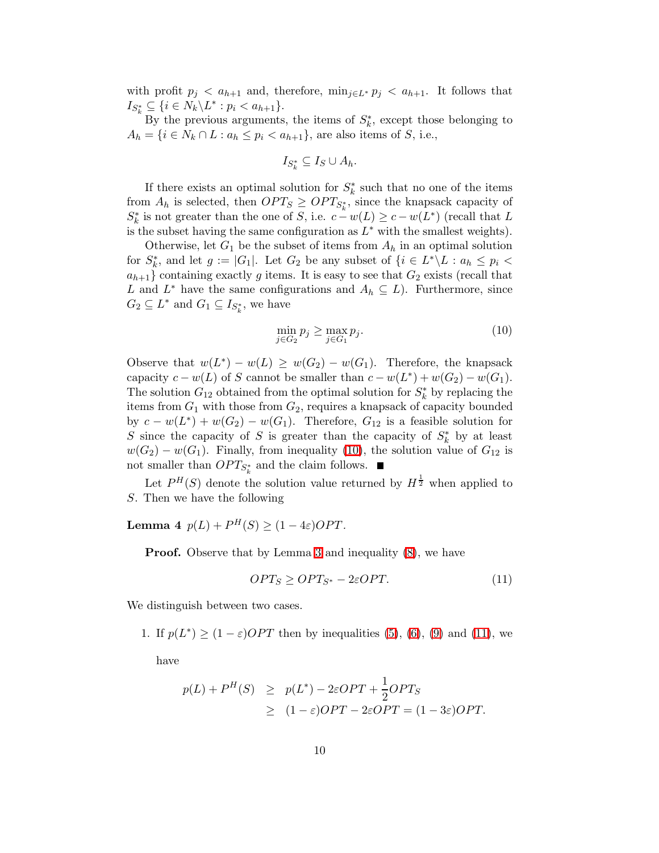with profit  $p_i < a_{h+1}$  and, therefore,  $\min_{j \in L^*} p_j < a_{h+1}$ . It follows that  $I_{S_k^*} \subseteq \{ i \in N_k \backslash L^* : p_i < a_{h+1} \}.$ 

By the previous arguments, the items of  $S_k^*$ , except those belonging to  $A_h = \{i \in N_k \cap L : a_h \leq p_i < a_{h+1}\}\text{, are also items of } S \text{, i.e., }$ 

$$
I_{S_k^*} \subseteq I_S \cup A_h.
$$

If there exists an optimal solution for  $S_k^*$  such that no one of the items from  $A_h$  is selected, then  $OPT_S \geq OPT_{S^*_k}$ , since the knapsack capacity of  $S_k^*$  is not greater than the one of S, i.e.  $c - w(L) \geq c - w(L^*)$  (recall that L is the subset having the same configuration as  $L^*$  with the smallest weights).

Otherwise, let  $G_1$  be the subset of items from  $A_h$  in an optimal solution for  $S_k^*$ , and let  $g := |G_1|$ . Let  $G_2$  be any subset of  $\{i \in L^* \backslash L : a_h \leq p_i \leq h\}$  $a_{h+1}$  containing exactly g items. It is easy to see that  $G_2$  exists (recall that L and  $L^*$  have the same configurations and  $A_h \subseteq L$ ). Furthermore, since  $G_2 \subseteq L^*$  and  $G_1 \subseteq I_{S_k^*}$ , we have

<span id="page-9-0"></span>
$$
\min_{j \in G_2} p_j \ge \max_{j \in G_1} p_j. \tag{10}
$$

Observe that  $w(L^*) - w(L) \geq w(G_2) - w(G_1)$ . Therefore, the knapsack capacity  $c - w(L)$  of S cannot be smaller than  $c - w(L^*) + w(G_2) - w(G_1)$ . The solution  $G_{12}$  obtained from the optimal solution for  $S_k^*$  by replacing the items from  $G_1$  with those from  $G_2$ , requires a knapsack of capacity bounded by  $c - w(L^*) + w(G_2) - w(G_1)$ . Therefore,  $G_{12}$  is a feasible solution for S since the capacity of S is greater than the capacity of  $S_k^*$  by at least  $w(G_2) - w(G_1)$ . Finally, from inequality [\(10\)](#page-9-0), the solution value of  $G_{12}$  is not smaller than  $OPT_{S^*_k}$  and the claim follows.

Let  $P^{H}(S)$  denote the solution value returned by  $H^{\frac{1}{2}}$  when applied to S. Then we have the following

**Lemma 4**  $p(L) + P^H(S) \ge (1 - 4\varepsilon)OPT$ .

**Proof.** Observe that by Lemma [3](#page-8-1) and inequality  $(8)$ , we have

<span id="page-9-1"></span>
$$
OPT_S \ge OPT_{S^*} - 2\varepsilon OPT. \tag{11}
$$

We distinguish between two cases.

1. If  $p(L^*) \geq (1 - \varepsilon)OPT$  then by inequalities [\(5\)](#page-2-0), [\(6\)](#page-8-3), [\(9\)](#page-8-4) and [\(11\)](#page-9-1), we

have

$$
p(L) + PH(S) \ge p(L^*) - 2\varepsilon OPT + \frac{1}{2} OPT_S
$$
  
 
$$
\ge (1 - \varepsilon) OPT - 2\varepsilon OPT = (1 - 3\varepsilon) OPT.
$$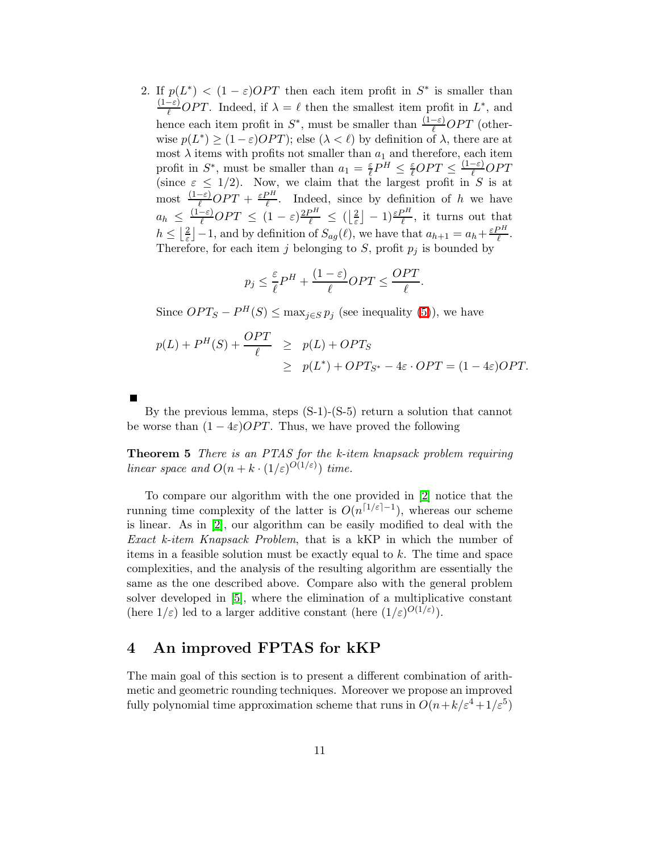2. If  $p(L^*) < (1 - \varepsilon)OPT$  then each item profit in  $S^*$  is smaller than  $\frac{(1-\varepsilon)}{\ell}OPT$ . Indeed, if  $\lambda = \ell$  then the smallest item profit in  $L^*$ , and hence each item profit in  $S^*$ , must be smaller than  $\frac{(1-\varepsilon)}{\ell}OPT$  (otherwise  $p(L^*) \geq (1 - \varepsilon)OPT$ ; else  $(\lambda < \ell)$  by definition of  $\lambda$ , there are at most  $\lambda$  items with profits not smaller than  $a_1$  and therefore, each item profit in  $S^*$ , must be smaller than  $a_1 = \frac{\varepsilon}{\ell}$  $\frac{\varepsilon}{\ell} P^H \leq \frac{\varepsilon}{\ell} OPT \leq \frac{(1-\varepsilon)}{\ell} OPT$ (since  $\varepsilon \leq 1/2$ ). Now, we claim that the largest profit in S is at most  $\frac{(1-\varepsilon)}{\ell}OPT + \frac{\varepsilon P^H}{\ell}$  $\frac{\partial n}{\partial t}$ . Indeed, since by definition of h we have  $a_h \leq \frac{(1-\varepsilon)}{\ell}OPT \leq (1-\varepsilon)\frac{2P^H}{\ell} \leq (\left\lfloor \frac{2}{\varepsilon}\right\rfloor)$  $\left[\frac{2}{\varepsilon}\right] - 1$ ) $\frac{\varepsilon P^H}{\ell}$ , it turns out that  $h \leq \left|\frac{2}{\varepsilon}\right|$  $\frac{2}{\varepsilon}$  | -1, and by definition of  $S_{ag}(\ell)$ , we have that  $a_{h+1} = a_h + \frac{\varepsilon P^H}{\ell}$  $\frac{\partial \Pi}{\partial \ell}$ . Therefore, for each item j belonging to S, profit  $p_j$  is bounded by

$$
p_j \le \frac{\varepsilon}{\ell} P^H + \frac{(1-\varepsilon)}{\ell} OPT \le \frac{OPT}{\ell}.
$$

Since  $OPT_S - P^H(S) \leq \max_{j \in S} p_j$  (see inequality [\(5\)](#page-2-0)), we have

$$
p(L) + PH(S) + \frac{OPT}{\ell} \ge p(L) + OPT_S
$$
  
\n
$$
\ge p(L^*) + OPT_{S^*} - 4\varepsilon \cdot OPT = (1 - 4\varepsilon)OPT.
$$

By the previous lemma, steps (S-1)-(S-5) return a solution that cannot be worse than  $(1 - 4\varepsilon)OPT$ . Thus, we have proved the following

Theorem 5 There is an PTAS for the k-item knapsack problem requiring linear space and  $O(n + k \cdot (1/\varepsilon)^{O(1/\varepsilon)})$  time.

To compare our algorithm with the one provided in [\[2\]](#page-17-0) notice that the running time complexity of the latter is  $O(n^{\lceil 1/\varepsilon \rceil - 1})$ , whereas our scheme is linear. As in [\[2\]](#page-17-0), our algorithm can be easily modified to deal with the Exact k-item Knapsack Problem, that is a kKP in which the number of items in a feasible solution must be exactly equal to k. The time and space complexities, and the analysis of the resulting algorithm are essentially the same as the one described above. Compare also with the general problem solver developed in [\[5\]](#page-17-6), where the elimination of a multiplicative constant (here  $1/\varepsilon$ ) led to a larger additive constant (here  $(1/\varepsilon)^{O(1/\varepsilon)}$ ).

### 4 An improved FPTAS for kKP

The main goal of this section is to present a different combination of arithmetic and geometric rounding techniques. Moreover we propose an improved fully polynomial time approximation scheme that runs in  $O(n + k/\varepsilon^4 + 1/\varepsilon^5)$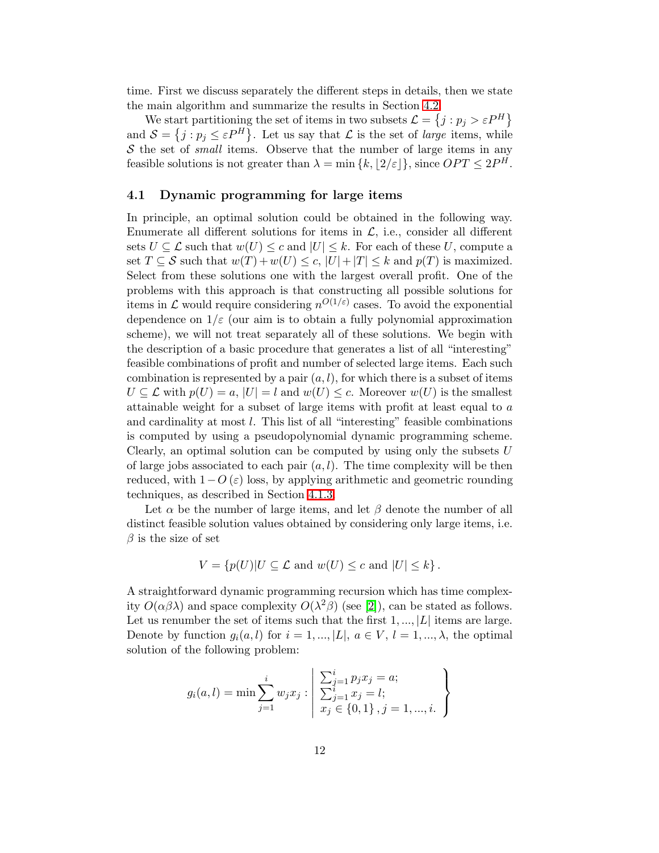time. First we discuss separately the different steps in details, then we state the main algorithm and summarize the results in Section [4.2.](#page-16-0)

We start partitioning the set of items in two subsets  $\mathcal{L} = \{j : p_j > \varepsilon P^H\}$ and  $\mathcal{S} = \{j : p_j \leq \varepsilon P^H\}$ . Let us say that  $\mathcal{L}$  is the set of *large* items, while  $S$  the set of *small* items. Observe that the number of large items in any feasible solutions is not greater than  $\lambda = \min \{k, \lfloor 2/\varepsilon \rfloor \}$ , since  $OPT \leq 2P^H$ .

### 4.1 Dynamic programming for large items

In principle, an optimal solution could be obtained in the following way. Enumerate all different solutions for items in  $\mathcal{L}$ , i.e., consider all different sets  $U \subseteq \mathcal{L}$  such that  $w(U) \leq c$  and  $|U| \leq k$ . For each of these U, compute a set  $T \subseteq S$  such that  $w(T) + w(U) \le c$ ,  $|U| + |T| \le k$  and  $p(T)$  is maximized. Select from these solutions one with the largest overall profit. One of the problems with this approach is that constructing all possible solutions for items in  $\mathcal L$  would require considering  $n^{O(1/\varepsilon)}$  cases. To avoid the exponential dependence on  $1/\varepsilon$  (our aim is to obtain a fully polynomial approximation scheme), we will not treat separately all of these solutions. We begin with the description of a basic procedure that generates a list of all "interesting" feasible combinations of profit and number of selected large items. Each such combination is represented by a pair  $(a, l)$ , for which there is a subset of items  $U \subseteq \mathcal{L}$  with  $p(U) = a$ ,  $|U| = l$  and  $w(U) \leq c$ . Moreover  $w(U)$  is the smallest attainable weight for a subset of large items with profit at least equal to a and cardinality at most l. This list of all "interesting" feasible combinations is computed by using a pseudopolynomial dynamic programming scheme. Clearly, an optimal solution can be computed by using only the subsets  $U$ of large jobs associated to each pair  $(a, l)$ . The time complexity will be then reduced, with  $1-O(\varepsilon)$  loss, by applying arithmetic and geometric rounding techniques, as described in Section [4.1.3.](#page-16-1)

Let  $\alpha$  be the number of large items, and let  $\beta$  denote the number of all distinct feasible solution values obtained by considering only large items, i.e.  $\beta$  is the size of set

$$
V = \{p(U)|U \subseteq \mathcal{L} \text{ and } w(U) \le c \text{ and } |U| \le k\}.
$$

A straightforward dynamic programming recursion which has time complexity  $O(\alpha\beta\lambda)$  and space complexity  $O(\lambda^2\beta)$  (see [\[2\]](#page-17-0)), can be stated as follows. Let us renumber the set of items such that the first  $1, ..., |L|$  items are large. Denote by function  $g_i(a, l)$  for  $i = 1, ..., |L|, a \in V, l = 1, ..., \lambda$ , the optimal solution of the following problem:

$$
g_i(a, l) = \min \sum_{j=1}^i w_j x_j : \begin{cases} \sum_{j=1}^i p_j x_j = a; \\ \sum_{j=1}^i x_j = l; \\ x_j \in \{0, 1\}, j = 1, ..., i. \end{cases}
$$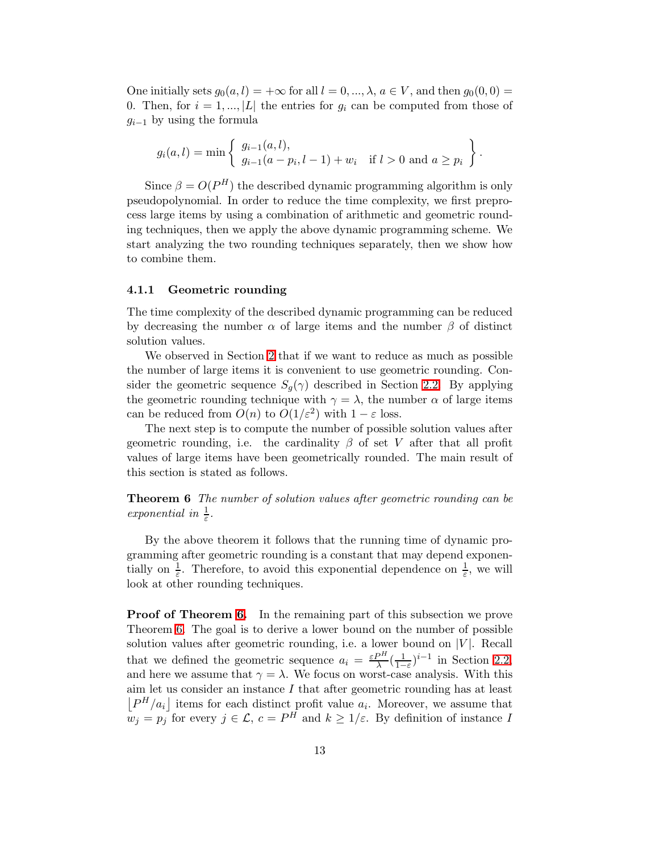One initially sets  $g_0(a, l) = +\infty$  for all  $l = 0, ..., \lambda, a \in V$ , and then  $g_0(0, 0) =$ 0. Then, for  $i = 1, ..., |L|$  the entries for  $g_i$  can be computed from those of  $g_{i-1}$  by using the formula

$$
g_i(a, l) = \min \left\{ \begin{array}{l} g_{i-1}(a, l), \\ g_{i-1}(a - p_i, l - 1) + w_i \quad \text{if } l > 0 \text{ and } a \ge p_i \end{array} \right\}.
$$

Since  $\beta = O(P^H)$  the described dynamic programming algorithm is only pseudopolynomial. In order to reduce the time complexity, we first preprocess large items by using a combination of arithmetic and geometric rounding techniques, then we apply the above dynamic programming scheme. We start analyzing the two rounding techniques separately, then we show how

### 4.1.1 Geometric rounding

to combine them.

The time complexity of the described dynamic programming can be reduced by decreasing the number  $\alpha$  of large items and the number  $\beta$  of distinct solution values.

We observed in Section [2](#page-2-1) that if we want to reduce as much as possible the number of large items it is convenient to use geometric rounding. Consider the geometric sequence  $S_q(\gamma)$  described in Section [2.2.](#page-4-0) By applying the geometric rounding technique with  $\gamma = \lambda$ , the number  $\alpha$  of large items can be reduced from  $O(n)$  to  $O(1/\varepsilon^2)$  with  $1-\varepsilon$  loss.

The next step is to compute the number of possible solution values after geometric rounding, i.e. the cardinality  $\beta$  of set V after that all profit values of large items have been geometrically rounded. The main result of this section is stated as follows.

<span id="page-12-0"></span>**Theorem 6** The number of solution values after geometric rounding can be exponential in  $\frac{1}{\varepsilon}$ .

By the above theorem it follows that the running time of dynamic programming after geometric rounding is a constant that may depend exponentially on  $\frac{1}{\varepsilon}$ . Therefore, to avoid this exponential dependence on  $\frac{1}{\varepsilon}$ , we will look at other rounding techniques.

Proof of Theorem [6.](#page-12-0) In the remaining part of this subsection we prove Theorem [6.](#page-12-0) The goal is to derive a lower bound on the number of possible solution values after geometric rounding, i.e. a lower bound on  $|V|$ . Recall that we defined the geometric sequence  $a_i = \frac{\varepsilon P^H}{\lambda} \left( \frac{1}{1 - \varepsilon P^H} \right)$  $\frac{1}{1-\varepsilon}$ <sup>i-1</sup> in Section [2.2,](#page-4-0) and here we assume that  $\gamma = \lambda$ . We focus on worst-case analysis. With this aim let us consider an instance I that after geometric rounding has at least  $\left[P^H/a_i\right]$  items for each distinct profit value  $a_i$ . Moreover, we assume that  $w_j = p_j$  for every  $j \in \mathcal{L}$ ,  $c = P^H$  and  $k \geq 1/\varepsilon$ . By definition of instance I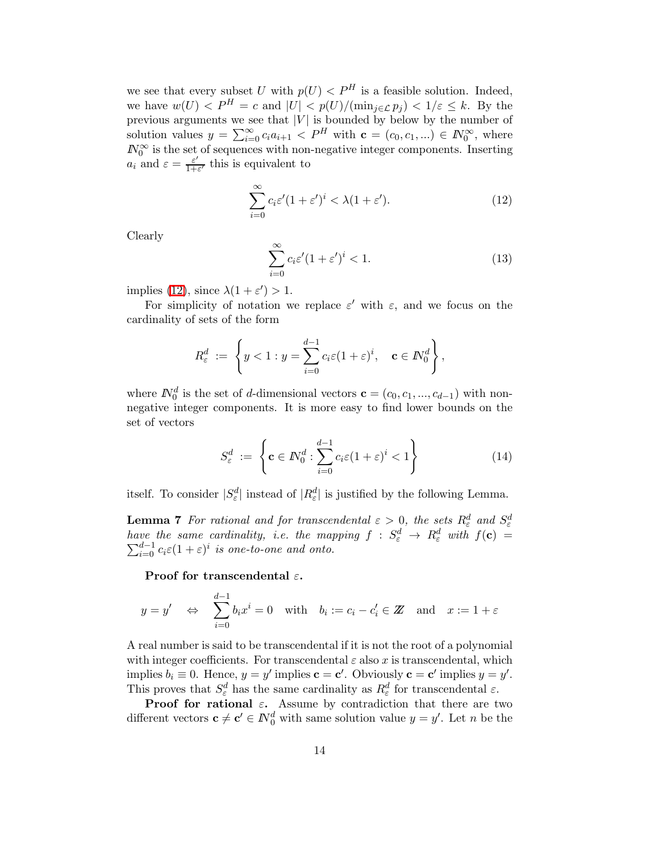we see that every subset U with  $p(U) < P^H$  is a feasible solution. Indeed, we have  $w(U) < P^H = c$  and  $|U| < p(U)/(\min_{j \in \mathcal{L}} p_j) < 1/\varepsilon \leq k$ . By the previous arguments we see that  $|V|$  is bounded by below by the number of solution values  $y = \sum_{i=0}^{\infty} c_i a_{i+1} < P^H$  with  $\mathbf{c} = (c_0, c_1, ...) \in \mathbb{N}_0^{\infty}$ , where  $N_0^{\infty}$  is the set of sequences with non-negative integer components. Inserting  $a_i$  and  $\varepsilon = \frac{\varepsilon'}{1+i}$  $\frac{\varepsilon'}{1+\varepsilon'}$  this is equivalent to

<span id="page-13-0"></span>
$$
\sum_{i=0}^{\infty} c_i \varepsilon'(1+\varepsilon')^i < \lambda(1+\varepsilon'). \tag{12}
$$

<span id="page-13-3"></span>Clearly

$$
\sum_{i=0}^{\infty} c_i \varepsilon'(1+\varepsilon')^i < 1.
$$
 (13)

implies [\(12\)](#page-13-0), since  $\lambda(1+\varepsilon') > 1$ .

For simplicity of notation we replace  $\varepsilon'$  with  $\varepsilon$ , and we focus on the cardinality of sets of the form

$$
R_{\varepsilon}^{d} := \left\{ y < 1 : y = \sum_{i=0}^{d-1} c_{i} \varepsilon (1+\varepsilon)^{i}, \quad \mathbf{c} \in \mathbb{N}_{0}^{d} \right\},
$$

<span id="page-13-1"></span>where  $N_0^d$  is the set of d-dimensional vectors  $\mathbf{c} = (c_0, c_1, ..., c_{d-1})$  with nonnegative integer components. It is more easy to find lower bounds on the set of vectors

$$
S_{\varepsilon}^{d} := \left\{ \mathbf{c} \in \mathbb{N}_{0}^{d} : \sum_{i=0}^{d-1} c_{i} \varepsilon (1+\varepsilon)^{i} < 1 \right\} \tag{14}
$$

<span id="page-13-2"></span>itself. To consider  $|S^d_{\varepsilon}|$  instead of  $|R^d_{\varepsilon}|$  is justified by the following Lemma.

**Lemma 7** For rational and for transcendental  $\varepsilon > 0$ , the sets  $R_{\varepsilon}^{d}$  and  $S_{\varepsilon}^{d}$ have the same cardinality, i.e. the mapping  $f: S^d_{\varepsilon} \to R^d_{\varepsilon}$  with  $f(\mathbf{c}) = \sum_{i=0}^{d-1} c_i \varepsilon (1+\varepsilon)^i$  is one-to-one and onto.

Proof for transcendental  $\varepsilon$ .

$$
y = y'
$$
  $\Leftrightarrow$   $\sum_{i=0}^{d-1} b_i x^i = 0$  with  $b_i := c_i - c'_i \in \mathbb{Z}$  and  $x := 1 + \varepsilon$ 

A real number is said to be transcendental if it is not the root of a polynomial with integer coefficients. For transcendental  $\varepsilon$  also x is transcendental, which implies  $b_i \equiv 0$ . Hence,  $y = y'$  implies  $\mathbf{c} = \mathbf{c}'$ . Obviously  $\mathbf{c} = \mathbf{c}'$  implies  $y = y'$ . This proves that  $S^d_\varepsilon$  has the same cardinality as  $R^d_\varepsilon$  for transcendental  $\varepsilon$ .

**Proof for rational**  $\varepsilon$ **.** Assume by contradiction that there are two different vectors  $\mathbf{c} \neq \mathbf{c}' \in \mathbb{N}_0^d$  with same solution value  $y = y'$ . Let n be the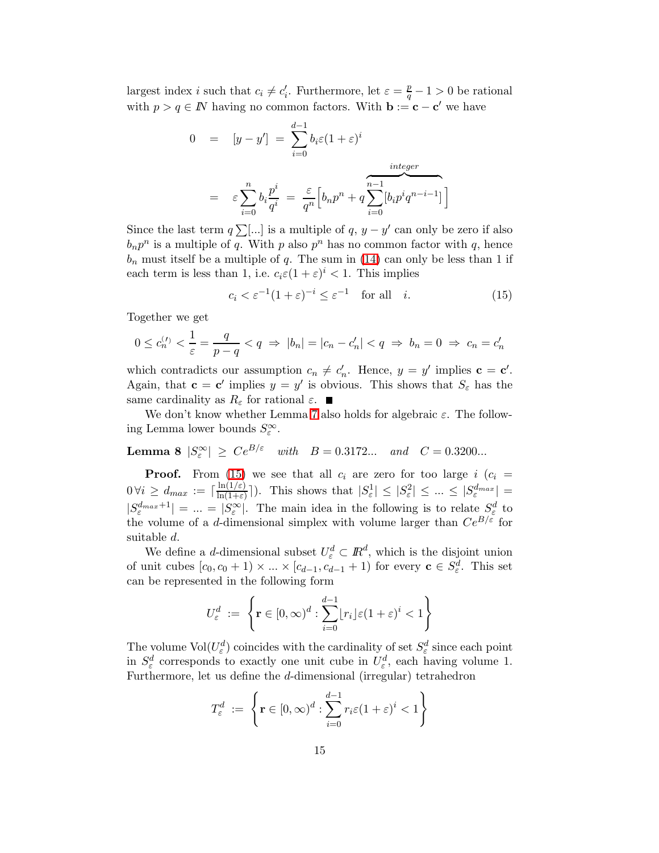largest index *i* such that  $c_i \neq c'_i$ . Furthermore, let  $\varepsilon = \frac{p}{q} - 1 > 0$  be rational with  $p > q \in \mathbb{N}$  having no common factors. With  $\mathbf{b} := \mathbf{c} - \mathbf{c}'$  we have

$$
0 = [y - y'] = \sum_{i=0}^{d-1} b_i \varepsilon (1 + \varepsilon)^i
$$
  

$$
= \varepsilon \sum_{i=0}^n b_i \frac{p^i}{q^i} = \frac{\varepsilon}{q^n} \Big[ b_n p^n + q \sum_{i=0}^{n-1} [b_i p^i q^{n-i-1}] \Big]
$$

Since the last term  $q \sum$ [...] is a multiple of  $q, y - y'$  can only be zero if also  $b_n p^n$  is a multiple of q. With p also  $p^n$  has no common factor with q, hence  $b_n$  must itself be a multiple of q. The sum in [\(14\)](#page-13-1) can only be less than 1 if each term is less than 1, i.e.  $c_i \varepsilon (1 + \varepsilon)^i < 1$ . This implies

<span id="page-14-0"></span>
$$
c_i < \varepsilon^{-1} (1 + \varepsilon)^{-i} \le \varepsilon^{-1} \quad \text{for all} \quad i. \tag{15}
$$

Together we get

$$
0 \le c_n^{(1)} < \frac{1}{\varepsilon} = \frac{q}{p-q} < q \implies |b_n| = |c_n - c_n'| < q \implies b_n = 0 \implies c_n = c_n'
$$

which contradicts our assumption  $c_n \neq c'_n$ . Hence,  $y = y'$  implies  $c = c'$ . Again, that  $\mathbf{c} = \mathbf{c}'$  implies  $y = y'$  is obvious. This shows that  $S_{\varepsilon}$  has the same cardinality as  $R_{\varepsilon}$  for rational  $\varepsilon$ .

<span id="page-14-1"></span>We don't know whether Lemma [7](#page-13-2) also holds for algebraic  $\varepsilon$ . The following Lemma lower bounds  $S_{\varepsilon}^{\infty}$ .

**Lemma 8**  $|S_{\varepsilon}^{\infty}| \geq Ce^{B/\varepsilon}$  with  $B = 0.3172...$  and  $C = 0.3200...$ 

**Proof.** From [\(15\)](#page-14-0) we see that all  $c_i$  are zero for too large i  $(c_i =$  $0 \forall i \geq d_{max} := \lceil \frac{\ln(1/\varepsilon)}{\ln(1+\varepsilon)} \rceil$  $\frac{\ln(1/\varepsilon)}{\ln(1+\varepsilon)}$ . This shows that  $|S_{\varepsilon}^1| \leq |S_{\varepsilon}^2| \leq ... \leq |S_{\varepsilon}^{d_{max}}| =$  $|S_{\varepsilon}^{dmax+1}| = ... = |S_{\varepsilon}^{\infty}|$ . The main idea in the following is to relate  $S_{\varepsilon}^{d}$  to the volume of a d-dimensional simplex with volume larger than  $Ce^{B/\varepsilon}$  for suitable d.

We define a *d*-dimensional subset  $U_{\varepsilon}^d \subset \mathbb{R}^d$ , which is the disjoint union of unit cubes  $[c_0, c_0 + 1) \times ... \times [c_{d-1}, c_{d-1} + 1]$  for every  $\mathbf{c} \in S^d_{\varepsilon}$ . This set can be represented in the following form

$$
U_{\varepsilon}^{d} := \left\{ \mathbf{r} \in [0, \infty)^{d} : \sum_{i=0}^{d-1} [r_{i}] \varepsilon (1+\varepsilon)^{i} < 1 \right\}
$$

The volume  $\text{Vol}(U_{\varepsilon}^d)$  coincides with the cardinality of set  $S_{\varepsilon}^d$  since each point in  $S^d_{\varepsilon}$  corresponds to exactly one unit cube in  $U^d_{\varepsilon}$ , each having volume 1. Furthermore, let us define the d-dimensional (irregular) tetrahedron

$$
T_{\varepsilon}^{d} := \left\{ \mathbf{r} \in [0, \infty)^{d} : \sum_{i=0}^{d-1} r_{i} \varepsilon (1+\varepsilon)^{i} < 1 \right\}
$$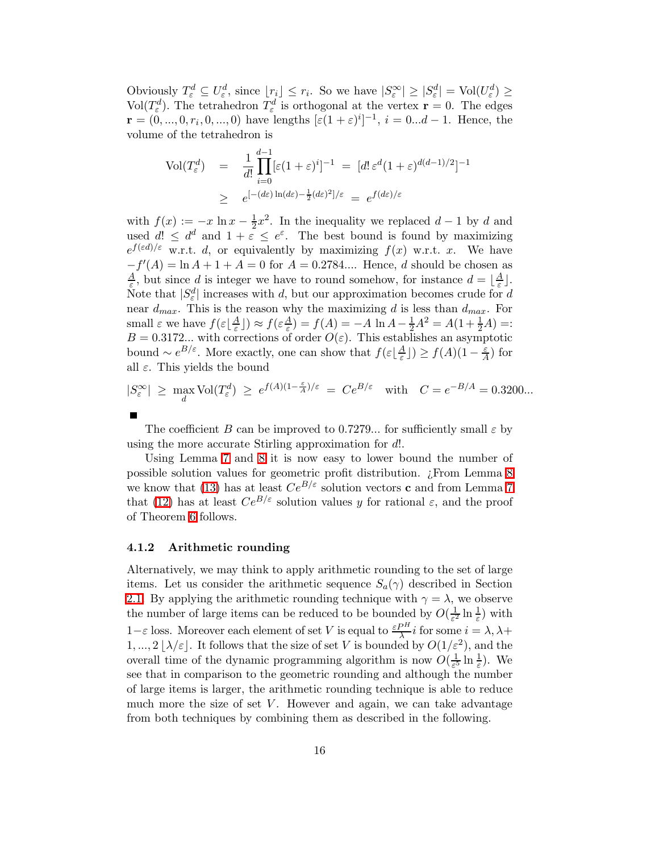Obviously  $T_{\varepsilon}^d \subseteq U_{\varepsilon}^d$ , since  $\lfloor r_i \rfloor \leq r_i$ . So we have  $|S_{\varepsilon}^{\infty}| \geq |S_{\varepsilon}^d| = \text{Vol}(U_{\varepsilon}^d) \geq$ Vol $(T_{\varepsilon}^d)$ . The tetrahedron  $T_{\varepsilon}^d$  is orthogonal at the vertex  $\mathbf{r} = 0$ . The edges  $\mathbf{r} = (0, ..., 0, r_i, 0, ..., 0)$  have lengths  $[\varepsilon(1+\varepsilon)^i]^{-1}, i = 0...d - 1$ . Hence, the volume of the tetrahedron is

$$
\text{Vol}(T_{\varepsilon}^{d}) = \frac{1}{d!} \prod_{i=0}^{d-1} [\varepsilon(1+\varepsilon)^{i}]^{-1} = [d! \varepsilon^{d}(1+\varepsilon)^{d(d-1)/2}]^{-1}
$$

$$
\geq e^{[-(d\varepsilon)\ln(d\varepsilon) - \frac{1}{2}(d\varepsilon)^{2}]/\varepsilon} = e^{f(d\varepsilon)/\varepsilon}
$$

with  $f(x) := -x \ln x - \frac{1}{2}$  $\frac{1}{2}x^2$ . In the inequality we replaced  $d-1$  by d and used  $d! \leq d^d$  and  $1 + \varepsilon \leq e^{\varepsilon}$ . The best bound is found by maximizing  $e^{f(\varepsilon d)/\varepsilon}$  w.r.t. d, or equivalently by maximizing  $f(x)$  w.r.t. x. We have  $-f'(A) = \ln A + 1 + A = 0$  for  $A = 0.2784...$  Hence, d should be chosen as A  $\frac{A}{\varepsilon}$ , but since d is integer we have to round somehow, for instance  $d = \lfloor \frac{A}{\varepsilon} \rfloor$  $\frac{A}{\varepsilon}$ ]. Note that  $|S_{\varepsilon}^d|$  increases with d, but our approximation becomes crude for d near  $d_{max}$ . This is the reason why the maximizing d is less than  $d_{max}$ . For small  $\varepsilon$  we have  $f(\varepsilon) \frac{A}{\varepsilon}$  $(\frac{A}{\varepsilon})\big) \approx f(\varepsilon \frac{A}{\varepsilon})$  $\frac{A}{\varepsilon}$ ) =  $f(A) = -A \ln A - \frac{1}{2}A^2 = A(1 + \frac{1}{2}A) =$ :  $B = 0.3172...$  with corrections of order  $O(\varepsilon)$ . This establishes an asymptotic bound  $\sim e^{B/\varepsilon}$ . More exactly, one can show that  $f(\varepsilon) \frac{A}{\varepsilon}$  $\frac{A}{\varepsilon}$ ])  $\geq f(A)(1-\frac{\varepsilon}{A})$  for all  $\varepsilon$ . This yields the bound

$$
|S_{\varepsilon}^{\infty}| \geq \max_{d} \text{Vol}(T_{\varepsilon}^{d}) \geq e^{f(A)(1-\frac{\varepsilon}{A})/\varepsilon} = Ce^{B/\varepsilon} \quad \text{with} \quad C = e^{-B/A} = 0.3200...
$$

The coefficient B can be improved to 0.7279... for sufficiently small  $\varepsilon$  by using the more accurate Stirling approximation for d!.

Using Lemma [7](#page-13-2) and [8](#page-14-1) it is now easy to lower bound the number of possible solution values for geometric profit distribution. ¿From Lemma [8](#page-14-1) we know that [\(13\)](#page-13-3) has at least  $Ce^{B/\varepsilon}$  solution vectors **c** and from Lemma [7](#page-13-2) that [\(12\)](#page-13-0) has at least  $Ce^{B/\varepsilon}$  solution values y for rational  $\varepsilon$ , and the proof of Theorem [6](#page-12-0) follows.

#### 4.1.2 Arithmetic rounding

Alternatively, we may think to apply arithmetic rounding to the set of large items. Let us consider the arithmetic sequence  $S_a(\gamma)$  described in Section [2.1.](#page-3-0) By applying the arithmetic rounding technique with  $\gamma = \lambda$ , we observe the number of large items can be reduced to be bounded by  $O(\frac{1}{\epsilon^2})$  $\frac{1}{\varepsilon^2} \ln \frac{1}{\varepsilon}$ ) with 1- $\varepsilon$  loss. Moreover each element of set V is equal to  $\frac{\varepsilon P^H}{\lambda} i$  for some  $i = \lambda, \lambda +$  $1, ..., 2 \lfloor \lambda/\varepsilon \rfloor$ . It follows that the size of set V is bounded by  $O(1/\varepsilon^2)$ , and the overall time of the dynamic programming algorithm is now  $O(\frac{1}{\epsilon^5})$  $\frac{1}{\varepsilon^5} \ln \frac{1}{\varepsilon}$ ). We see that in comparison to the geometric rounding and although the number of large items is larger, the arithmetic rounding technique is able to reduce much more the size of set  $V$ . However and again, we can take advantage from both techniques by combining them as described in the following.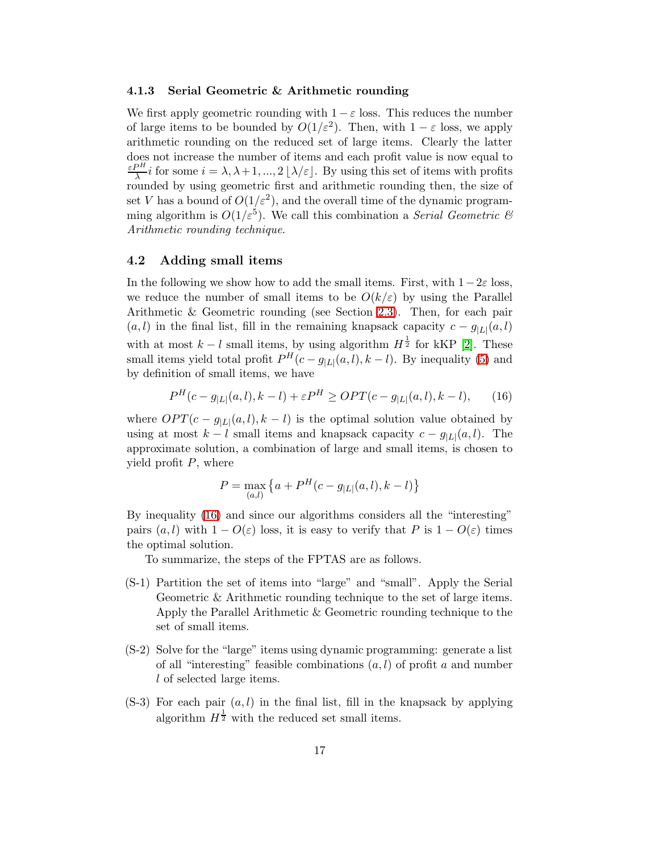#### <span id="page-16-1"></span>4.1.3 Serial Geometric & Arithmetic rounding

We first apply geometric rounding with  $1 - \varepsilon$  loss. This reduces the number of large items to be bounded by  $O(1/\varepsilon^2)$ . Then, with  $1 - \varepsilon$  loss, we apply arithmetic rounding on the reduced set of large items. Clearly the latter does not increase the number of items and each profit value is now equal to ε $P^H$  $\frac{\partial n}{\partial \lambda} i$  for some  $i = \lambda, \lambda + 1, ..., 2 \lfloor \lambda / \varepsilon \rfloor$ . By using this set of items with profits rounded by using geometric first and arithmetic rounding then, the size of set V has a bound of  $O(1/\varepsilon^2)$ , and the overall time of the dynamic programming algorithm is  $O(1/\varepsilon^5)$ . We call this combination a *Serial Geometric*  $\mathcal{C}$ Arithmetic rounding technique.

### <span id="page-16-0"></span>4.2 Adding small items

In the following we show how to add the small items. First, with  $1-2\varepsilon$  loss, we reduce the number of small items to be  $O(k/\varepsilon)$  by using the Parallel Arithmetic & Geometric rounding (see Section [2.3\)](#page-5-0). Then, for each pair  $(a, l)$  in the final list, fill in the remaining knapsack capacity  $c - g_{|L|}(a, l)$ with at most  $k - l$  small items, by using algorithm  $H^{\frac{1}{2}}$  for kKP [\[2\]](#page-17-0). These small items yield total profit  $P^{H}(c-g_{|L|}(a, l), k-l)$ . By inequality [\(5\)](#page-2-0) and by definition of small items, we have

<span id="page-16-2"></span>
$$
P^{H}(c - g_{|L|}(a, l), k - l) + \varepsilon P^{H} \geq OPT(c - g_{|L|}(a, l), k - l), \qquad (16)
$$

where  $OPT(c - g_{|L|}(a, l), k - l)$  is the optimal solution value obtained by using at most  $k - l$  small items and knapsack capacity  $c - g_{|L|}(a, l)$ . The approximate solution, a combination of large and small items, is chosen to yield profit  $P$ , where

$$
P = \max_{(a,l)} \left\{ a + P^H(c - g_{|L|}(a,l), k - l) \right\}
$$

By inequality [\(16\)](#page-16-2) and since our algorithms considers all the "interesting" pairs  $(a, l)$  with  $1 - O(\varepsilon)$  loss, it is easy to verify that P is  $1 - O(\varepsilon)$  times the optimal solution.

To summarize, the steps of the FPTAS are as follows.

- (S-1) Partition the set of items into "large" and "small". Apply the Serial Geometric & Arithmetic rounding technique to the set of large items. Apply the Parallel Arithmetic & Geometric rounding technique to the set of small items.
- (S-2) Solve for the "large" items using dynamic programming: generate a list of all "interesting" feasible combinations  $(a, l)$  of profit a and number l of selected large items.
- $(S-3)$  For each pair  $(a, l)$  in the final list, fill in the knapsack by applying algorithm  $H^{\frac{1}{2}}$  with the reduced set small items.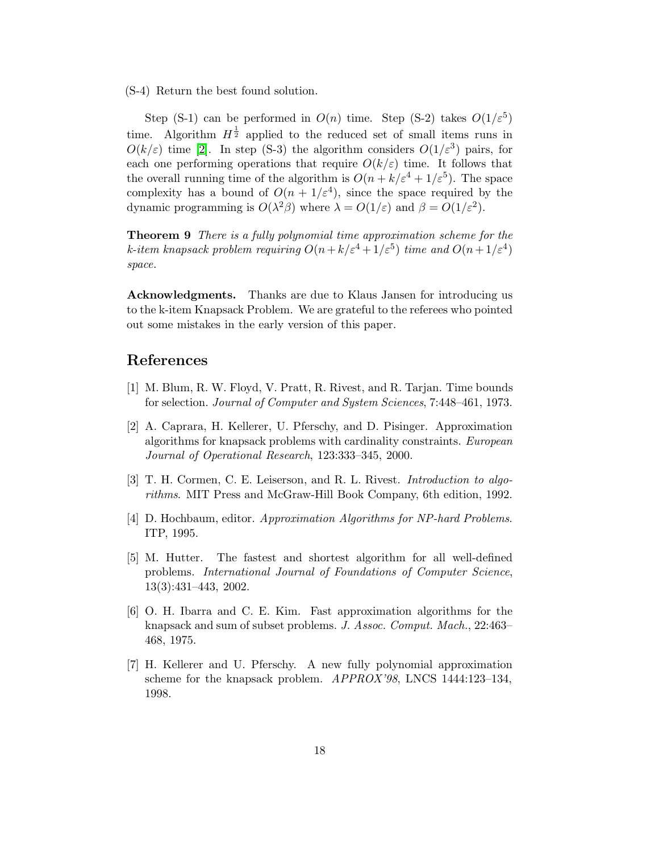(S-4) Return the best found solution.

Step (S-1) can be performed in  $O(n)$  time. Step (S-2) takes  $O(1/\varepsilon^5)$ time. Algorithm  $H^{\frac{1}{2}}$  applied to the reduced set of small items runs in  $O(k/\varepsilon)$  time [\[2\]](#page-17-0). In step (S-3) the algorithm considers  $O(1/\varepsilon^3)$  pairs, for each one performing operations that require  $O(k/\varepsilon)$  time. It follows that the overall running time of the algorithm is  $O(n + k/\varepsilon^4 + 1/\varepsilon^5)$ . The space complexity has a bound of  $O(n + 1/\varepsilon^4)$ , since the space required by the dynamic programming is  $O(\lambda^2 \beta)$  where  $\lambda = O(1/\varepsilon)$  and  $\beta = O(1/\varepsilon^2)$ .

Theorem 9 There is a fully polynomial time approximation scheme for the k-item knapsack problem requiring  $O(n + k/\varepsilon^4 + 1/\varepsilon^5)$  time and  $O(n + 1/\varepsilon^4)$ space.

Acknowledgments. Thanks are due to Klaus Jansen for introducing us to the k-item Knapsack Problem. We are grateful to the referees who pointed out some mistakes in the early version of this paper.

### <span id="page-17-5"></span>References

- <span id="page-17-0"></span>[1] M. Blum, R. W. Floyd, V. Pratt, R. Rivest, and R. Tarjan. Time bounds for selection. Journal of Computer and System Sciences, 7:448–461, 1973.
- [2] A. Caprara, H. Kellerer, U. Pferschy, and D. Pisinger. Approximation algorithms for knapsack problems with cardinality constraints. European Journal of Operational Research, 123:333–345, 2000.
- <span id="page-17-4"></span><span id="page-17-3"></span>[3] T. H. Cormen, C. E. Leiserson, and R. L. Rivest. *Introduction to algo*rithms. MIT Press and McGraw-Hill Book Company, 6th edition, 1992.
- <span id="page-17-6"></span>[4] D. Hochbaum, editor. Approximation Algorithms for NP-hard Problems. ITP, 1995.
- [5] M. Hutter. The fastest and shortest algorithm for all well-defined problems. International Journal of Foundations of Computer Science, 13(3):431–443, 2002.
- <span id="page-17-1"></span>[6] O. H. Ibarra and C. E. Kim. Fast approximation algorithms for the knapsack and sum of subset problems. J. Assoc. Comput. Mach., 22:463– 468, 1975.
- <span id="page-17-2"></span>[7] H. Kellerer and U. Pferschy. A new fully polynomial approximation scheme for the knapsack problem. APPROX'98, LNCS 1444:123–134, 1998.